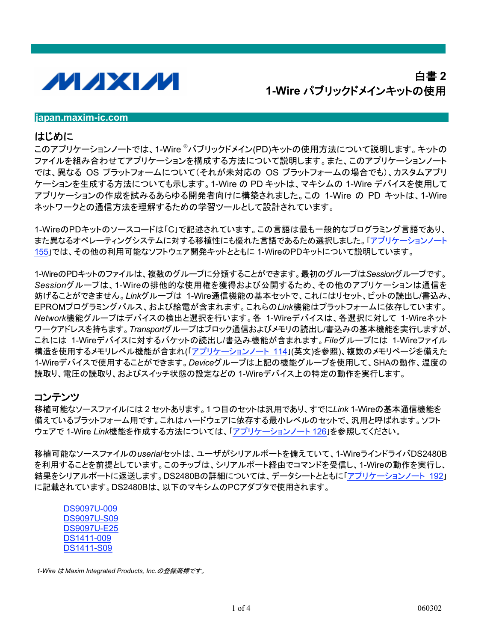

# 白書 2 1-Wire パブリックドメインキットの使用

#### liapan.maxim-ic.com

#### はじめに

このアプリケーションノートでは、1-Wire <sup>®</sup>パブリックドメイン(PD)キットの使用方法について説明します。キットの ファイルを組み合わせてアプリケーションを構成する方法について説明します。また、このアプリケーションノート では、異なる OS プラットフォームについて(それが未対応の OS プラットフォームの場合でも)、カスタムアプリ ケーションを生成する方法についても示します。 1-Wire の PD キットは、マキシムの 1-Wire デバイスを使用して アプリケーションの作成を試みるあらゆる開発者向けに構築されました。この 1-Wire の PD キットは、1-Wire ネットワークとの通信方法を理解するための学習ツールとして設計されています。

1-WireのPDキットのソースコードは「C」で記述されています。この言語は最も一般的なプログラミング言語であり、 また異なるオペレーティングシステムに対する移植性にも優れた言語であるため選択しました。「アプリケーションノート 155」では、その他の利用可能なソフトウェア開発キットとともに 1-WireのPDキットについて説明しています。

1-WireのPDキットのファイルは、複数のグループに分類することができます。最初のグループはSessionグループです。 Sessionグループは、1-Wireの排他的な使用権を獲得および公開するため、その他のアプリケーションは通信を 妨げることができません。Linkグループは 1-Wire通信機能の基本セットで、これにはリセット、ビットの読出し/書込み、 EPROMプログラミングパルス、および給電が含まれます。これらのLink機能はプラットフォームに依存しています。 Network機能グループはデバイスの検出と選択を行います。各 1-Wireデバイスは、各選択に対して 1-Wireネット ワークアドレスを持ちます。Transportグループはブロック通信およびメモリの読出し/書込みの基本機能を実行しますが、 これには 1-Wireデバイスに対するパケットの読出し/書込み機能が含まれます。Fileグループには 1-Wireファイル 構造を使用するメモリレベル機能が含まれ(「アプリケーションノート 114」(英文)を参照)、複数のメモリページを備えた 1-Wireデバイスで使用することができます。Deviceグループは上記の機能グループを使用して、SHAの動作、温度の 読取り、電圧の読取り、およびスイッチ状態の設定などの 1-Wireデバイス上の特定の動作を実行します。

#### コンテンツ

移植可能なソースファイルには2セットあります。1つ目のセットは汎用であり、すでにLink 1-Wireの基本通信機能を 備えているプラットフォーム用です。これはハードウェアに依存する最小レベルのセットで、汎用と呼ばれます。ソフト ウェアで 1-Wire Link機能を作成する方法については、「アプリケーションノート 126」を参照してください。

移植可能なソースファイルのuserialセットは、ユーザがシリアルポートを備えていて、1-WireラインドライバDS2480B を利用することを前提としています。このチップは、シリアルポート経由でコマンドを受信し、1-Wireの動作を実行し、 結果をシリアルポートに返送します。DS2480Bの詳細については、データシートとともに「アプリケーションノート 192」 に記載されています。DS2480Bは、以下のマキシムのPCアダプタで使用されます。

| DS9097U-009        |
|--------------------|
| DS9097U-S09        |
| <b>DS9097U-E25</b> |
| DS1411-009         |
| <b>DS1411-S09</b>  |

1-Wire は Maxim Integrated Products, Inc.の登録商標です。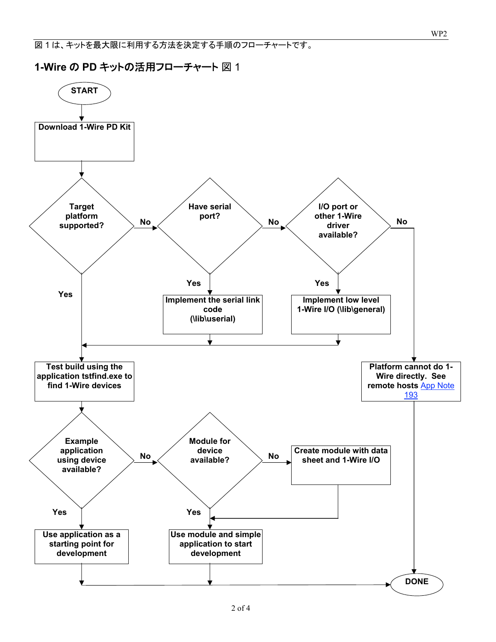図1は、キットを最大限に利用する方法を決定する手順のフローチャートです。

1-Wire の PD キットの活用フローチャート 図 1

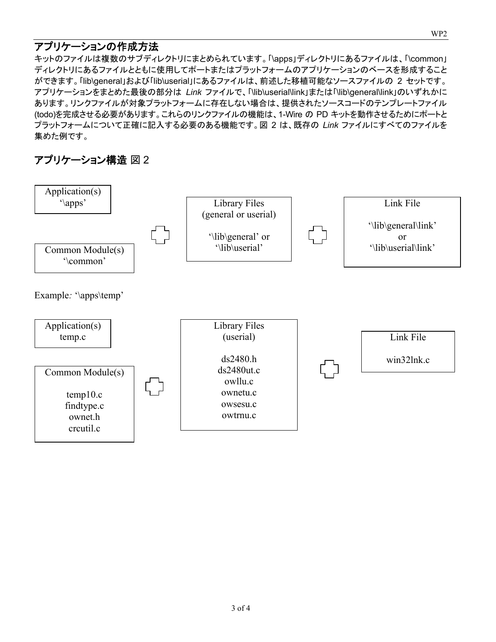#### アプリケーションの作成方法

キットのファイルは複数のサブディレクトリにまとめられています。「\apps」ディレクトリにあるファイルは、「\common」 ディレクトリにあるファイルとともに使用してポートまたはプラットフォームのアプリケーションのベースを形成すること ができます。「lib\general」および「lib\userial」にあるファイルは、前述した移植可能なソースファイルの 2 セットです。 アプリケーションをまとめた最後の部分は Link ファイルで、「\lib\userial\link」または「\lib\general\link」のいずれかに あります。リンクファイルが対象プラットフォームに存在しない場合は、提供されたソースコードのテンプレートファイル (todo)を完成させる必要があります。これらのリンクファイルの機能は、1-Wire の PD キットを動作させるためにポートと プラットフォームについて正確に記入する必要のある機能です。図 2 は、既存の Link ファイルにすべてのファイルを 集めた例です。

## アプリケーション構造 図2